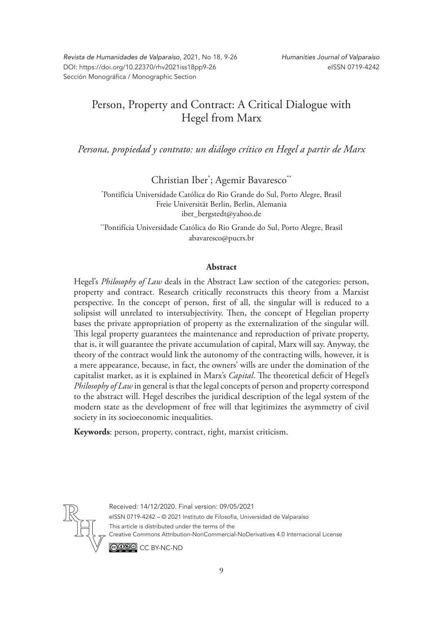*Revista de Humanidades de Valparaíso*, 2021, No 18, 9-26 DOI: https://doi.org/10.22370/rhv2021iss18pp9-26 Sección Monográfica / Monographic Section

# Person, Property and Contract: A Critical Dialogue with Hegel from Marx

*Persona, propiedad y contrato: un diálogo crítico en Hegel a partir de Marx*

Christian Iber<sup>\*</sup>; Agemir Bavaresco<sup>\*\*</sup>

\* Pontifícia Universidade Católica do Rio Grande do Sul, Porto Alegre, Brasil Freie Universität Berlin, Berlin, Alemania iber\_bergstedt@yahoo.de

\*\*Pontifícia Universidade Católica do Rio Grande do Sul, Porto Alegre, Brasil abavaresco@pucrs.br

#### **Abstract**

Hegel's *Philosophy of Law* deals in the Abstract Law section of the categories: person, property and contract. Research critically reconstructs this theory from a Marxist perspective. In the concept of person, first of all, the singular will is reduced to a solipsist will unrelated to intersubjectivity. Then, the concept of Hegelian property bases the private appropriation of property as the externalization of the singular will. This legal property guarantees the maintenance and reproduction of private property, that is, it will guarantee the private accumulation of capital, Marx will say. Anyway, the theory of the contract would link the autonomy of the contracting wills, however, it is a mere appearance, because, in fact, the owners' wills are under the domination of the capitalist market, as it is explained in Marx's *Capital*. The theoretical deficit of Hegel's *Philosophy of Law* in general is that the legal concepts of person and property correspond to the abstract will. Hegel describes the juridical description of the legal system of the modern state as the development of free will that legitimizes the asymmetry of civil society in its socioeconomic inequalities.

**Keywords**: person, property, contract, right, marxist criticism.



Received: 14/12/2020. Final version: 09/05/2021 eISSN 0719-4242 – © 2021 Instituto de Filosofía, Universidad de Valparaíso This article is distributed under the terms of the Creative Commons Attribution-NonCommercial-NoDerivatives 4.0 Internacional License © O © CC BY-NC-ND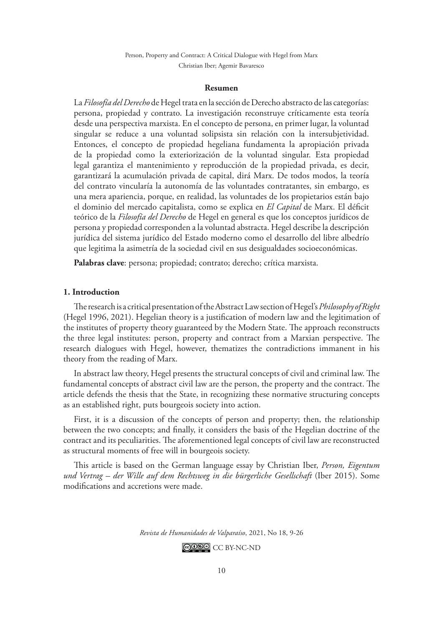#### **Resumen**

La *Filosofía del Derecho* de Hegel trata en la sección de Derecho abstracto de las categorías: persona, propiedad y contrato. La investigación reconstruye críticamente esta teoría desde una perspectiva marxista. En el concepto de persona, en primer lugar, la voluntad singular se reduce a una voluntad solipsista sin relación con la intersubjetividad. Entonces, el concepto de propiedad hegeliana fundamenta la apropiación privada de la propiedad como la exteriorización de la voluntad singular. Esta propiedad legal garantiza el mantenimiento y reproducción de la propiedad privada, es decir, garantizará la acumulación privada de capital, dirá Marx. De todos modos, la teoría del contrato vincularía la autonomía de las voluntades contratantes, sin embargo, es una mera apariencia, porque, en realidad, las voluntades de los propietarios están bajo el dominio del mercado capitalista, como se explica en *El Capital* de Marx. El déficit teórico de la *Filosofía del Derecho* de Hegel en general es que los conceptos jurídicos de persona y propiedad corresponden a la voluntad abstracta. Hegel describe la descripción jurídica del sistema jurídico del Estado moderno como el desarrollo del libre albedrío que legitima la asimetría de la sociedad civil en sus desigualdades socioeconómicas.

**Palabras clave**: persona; propiedad; contrato; derecho; crítica marxista.

#### **1. Introduction**

The research is a critical presentation of the Abstract Law section of Hegel's *Philosophy of Right*  (Hegel 1996, 2021). Hegelian theory is a justification of modern law and the legitimation of the institutes of property theory guaranteed by the Modern State. The approach reconstructs the three legal institutes: person, property and contract from a Marxian perspective. The research dialogues with Hegel, however, thematizes the contradictions immanent in his theory from the reading of Marx.

In abstract law theory, Hegel presents the structural concepts of civil and criminal law. The fundamental concepts of abstract civil law are the person, the property and the contract. The article defends the thesis that the State, in recognizing these normative structuring concepts as an established right, puts bourgeois society into action.

First, it is a discussion of the concepts of person and property; then, the relationship between the two concepts; and finally, it considers the basis of the Hegelian doctrine of the contract and its peculiarities. The aforementioned legal concepts of civil law are reconstructed as structural moments of free will in bourgeois society.

This article is based on the German language essay by Christian Iber, *Person, Eigentum und Vertrag – der Wille auf dem Rechtsweg in die bürgerliche Gesellschaft* (Iber 2015). Some modifications and accretions were made.

*Revista de Humanidades de Valparaíso*, 2021, No 18, 9-26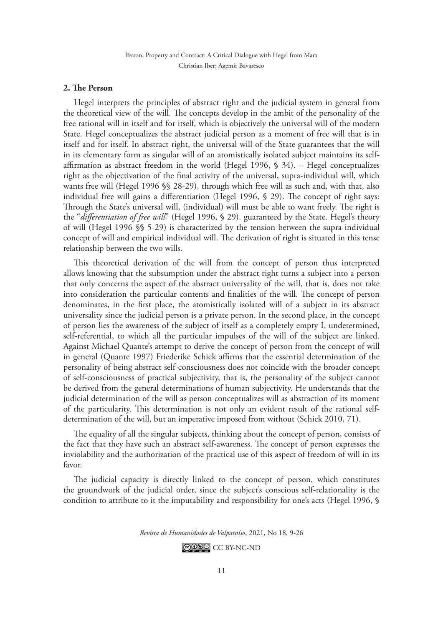# **2. The Person**

Hegel interprets the principles of abstract right and the judicial system in general from the theoretical view of the will. The concepts develop in the ambit of the personality of the free rational will in itself and for itself, which is objectively the universal will of the modern State. Hegel conceptualizes the abstract judicial person as a moment of free will that is in itself and for itself. In abstract right, the universal will of the State guarantees that the will in its elementary form as singular will of an atomistically isolated subject maintains its selfaffirmation as abstract freedom in the world (Hegel 1996, § 34). – Hegel conceptualizes right as the objectivation of the final activity of the universal, supra-individual will, which wants free will (Hegel 1996 §§ 28-29), through which free will as such and, with that, also individual free will gains a differentiation (Hegel 1996, § 29). The concept of right says: Through the State's universal will, (individual) will must be able to want freely. The right is the "*differentiation of free will*" (Hegel 1996, § 29). guaranteed by the State. Hegel's theory of will (Hegel 1996 §§ 5-29) is characterized by the tension between the supra-individual concept of will and empirical individual will. The derivation of right is situated in this tense relationship between the two wills.

This theoretical derivation of the will from the concept of person thus interpreted allows knowing that the subsumption under the abstract right turns a subject into a person that only concerns the aspect of the abstract universality of the will, that is, does not take into consideration the particular contents and finalities of the will. The concept of person denominates, in the first place, the atomistically isolated will of a subject in its abstract universality since the judicial person is a private person. In the second place, in the concept of person lies the awareness of the subject of itself as a completely empty I, undetermined, self-referential, to which all the particular impulses of the will of the subject are linked. Against Michael Quante's attempt to derive the concept of person from the concept of will in general (Quante 1997) Friederike Schick affirms that the essential determination of the personality of being abstract self-consciousness does not coincide with the broader concept of self-consciousness of practical subjectivity, that is, the personality of the subject cannot be derived from the general determinations of human subjectivity. He understands that the judicial determination of the will as person conceptualizes will as abstraction of its moment of the particularity. This determination is not only an evident result of the rational selfdetermination of the will, but an imperative imposed from without (Schick 2010, 71).

The equality of all the singular subjects, thinking about the concept of person, consists of the fact that they have such an abstract self-awareness. The concept of person expresses the inviolability and the authorization of the practical use of this aspect of freedom of will in its favor.

The judicial capacity is directly linked to the concept of person, which constitutes the groundwork of the judicial order, since the subject's conscious self-relationality is the condition to attribute to it the imputability and responsibility for one's acts (Hegel 1996, §

*Revista de Humanidades de Valparaíso*, 2021, No 18, 9-26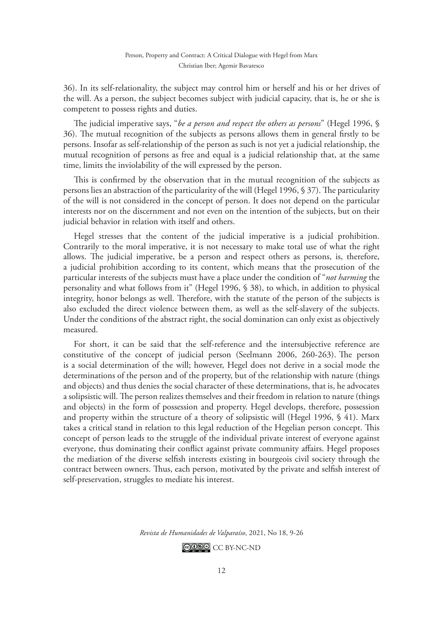36). In its self-relationality, the subject may control him or herself and his or her drives of the will. As a person, the subject becomes subject with judicial capacity, that is, he or she is competent to possess rights and duties.

The judicial imperative says, "*be a person and respect the others as persons*" (Hegel 1996, § 36). The mutual recognition of the subjects as persons allows them in general firstly to be persons. Insofar as self-relationship of the person as such is not yet a judicial relationship, the mutual recognition of persons as free and equal is a judicial relationship that, at the same time, limits the inviolability of the will expressed by the person.

This is confirmed by the observation that in the mutual recognition of the subjects as persons lies an abstraction of the particularity of the will (Hegel 1996, § 37). The particularity of the will is not considered in the concept of person. It does not depend on the particular interests nor on the discernment and not even on the intention of the subjects, but on their judicial behavior in relation with itself and others.

Hegel stresses that the content of the judicial imperative is a judicial prohibition. Contrarily to the moral imperative, it is not necessary to make total use of what the right allows. The judicial imperative, be a person and respect others as persons, is, therefore, a judicial prohibition according to its content, which means that the prosecution of the particular interests of the subjects must have a place under the condition of "*not harming* the personality and what follows from it" (Hegel 1996, § 38), to which, in addition to physical integrity, honor belongs as well. Therefore, with the statute of the person of the subjects is also excluded the direct violence between them, as well as the self-slavery of the subjects. Under the conditions of the abstract right, the social domination can only exist as objectively measured.

For short, it can be said that the self-reference and the intersubjective reference are constitutive of the concept of judicial person (Seelmann 2006, 260-263). The person is a social determination of the will; however, Hegel does not derive in a social mode the determinations of the person and of the property, but of the relationship with nature (things and objects) and thus denies the social character of these determinations, that is, he advocates a solipsistic will. The person realizes themselves and their freedom in relation to nature (things and objects) in the form of possession and property. Hegel develops, therefore, possession and property within the structure of a theory of solipsistic will (Hegel 1996, § 41). Marx takes a critical stand in relation to this legal reduction of the Hegelian person concept. This concept of person leads to the struggle of the individual private interest of everyone against everyone, thus dominating their conflict against private community affairs. Hegel proposes the mediation of the diverse selfish interests existing in bourgeois civil society through the contract between owners. Thus, each person, motivated by the private and selfish interest of self-preservation, struggles to mediate his interest.

*Revista de Humanidades de Valparaíso*, 2021, No 18, 9-26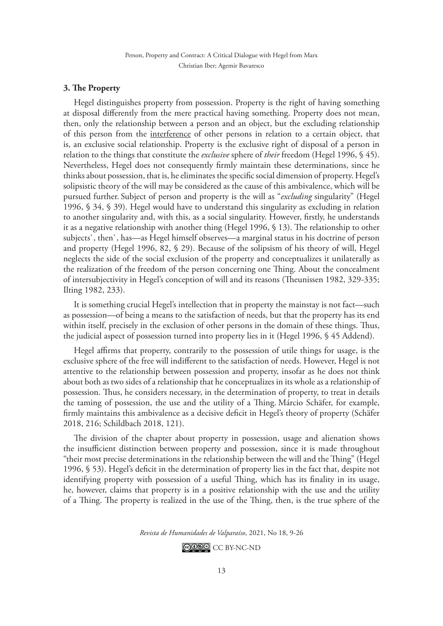## **3. The Property**

Hegel distinguishes property from possession. Property is the right of having something at disposal differently from the mere practical having something. Property does not mean, then, only the relationship between a person and an object, but the excluding relationship of this person from the interference of other persons in relation to a certain object, that is, an exclusive social relationship. Property is the exclusive right of disposal of a person in relation to the things that constitute the *exclusive* sphere of *their* freedom (Hegel 1996, § 45). Nevertheless, Hegel does not consequently firmly maintain these determinations, since he thinks about possession, that is, he eliminates the specific social dimension of property. Hegel's solipsistic theory of the will may be considered as the cause of this ambivalence, which will be pursued further. Subject of person and property is the will as "*excluding* singularity" (Hegel 1996, § 34, § 39). Hegel would have to understand this singularity as excluding in relation to another singularity and, with this, as a social singularity. However, firstly, he understands it as a negative relationship with another thing (Hegel 1996, § 13). The relationship to other subjects`, then`, has—as Hegel himself observes—a marginal status in his doctrine of person and property (Hegel 1996, 82, § 29). Because of the solipsism of his theory of will, Hegel neglects the side of the social exclusion of the property and conceptualizes it unilaterally as the realization of the freedom of the person concerning one Thing. About the concealment of intersubjectivity in Hegel's conception of will and its reasons (Theunissen 1982, 329-335; Ilting 1982, 233).

It is something crucial Hegel's intellection that in property the mainstay is not fact—such as possession—of being a means to the satisfaction of needs, but that the property has its end within itself, precisely in the exclusion of other persons in the domain of these things. Thus, the judicial aspect of possession turned into property lies in it (Hegel 1996, § 45 Addend).

Hegel affirms that property, contrarily to the possession of utile things for usage, is the exclusive sphere of the free will indifferent to the satisfaction of needs. However, Hegel is not attentive to the relationship between possession and property, insofar as he does not think about both as two sides of a relationship that he conceptualizes in its whole as a relationship of possession. Thus, he considers necessary, in the determination of property, to treat in details the taming of possession, the use and the utility of a Thing. Márcio Schäfer, for example, firmly maintains this ambivalence as a decisive deficit in Hegel's theory of property (Schäfer 2018, 216; Schildbach 2018, 121).

The division of the chapter about property in possession, usage and alienation shows the insufficient distinction between property and possession, since it is made throughout "their most precise determinations in the relationship between the will and the Thing" (Hegel 1996, § 53). Hegel's deficit in the determination of property lies in the fact that, despite not identifying property with possession of a useful Thing, which has its finality in its usage, he, however, claims that property is in a positive relationship with the use and the utility of a Thing. The property is realized in the use of the Thing, then, is the true sphere of the

*Revista de Humanidades de Valparaíso*, 2021, No 18, 9-26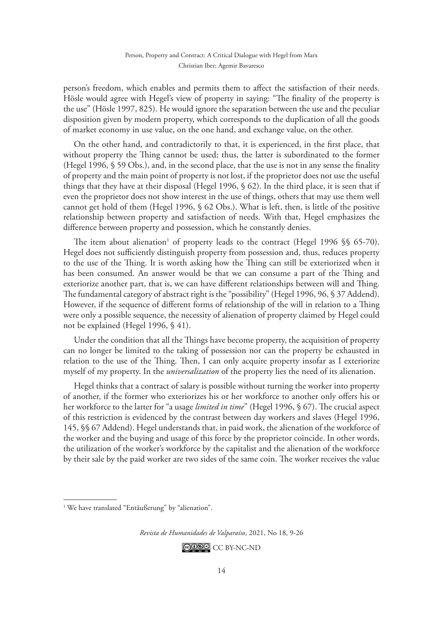person's freedom, which enables and permits them to affect the satisfaction of their needs. Hösle would agree with Hegel's view of property in saying: "The finality of the property is the use" (Hösle 1997, 825). He would ignore the separation between the use and the peculiar disposition given by modern property, which corresponds to the duplication of all the goods of market economy in use value, on the one hand, and exchange value, on the other.

On the other hand, and contradictorily to that, it is experienced, in the first place, that without property the Thing cannot be used; thus, the latter is subordinated to the former (Hegel 1996, § 59 Obs.), and, in the second place, that the use is not in any sense the finality of property and the main point of property is not lost, if the proprietor does not use the useful things that they have at their disposal (Hegel 1996, § 62). In the third place, it is seen that if even the proprietor does not show interest in the use of things, others that may use them well cannot get hold of them (Hegel 1996, § 62 Obs.). What is left, then, is little of the positive relationship between property and satisfaction of needs. With that, Hegel emphasizes the difference between property and possession, which he constantly denies.

The item about alienation<sup>1</sup> of property leads to the contract (Hegel 1996  $\S$  65-70). Hegel does not sufficiently distinguish property from possession and, thus, reduces property to the use of the Thing. It is worth asking how the Thing can still be exteriorized when it has been consumed. An answer would be that we can consume a part of the Thing and exteriorize another part, that is, we can have different relationships between will and Thing. The fundamental category of abstract right is the "possibility" (Hegel 1996, 96, § 37 Addend). However, if the sequence of different forms of relationship of the will in relation to a Thing were only a possible sequence, the necessity of alienation of property claimed by Hegel could not be explained (Hegel 1996, § 41).

Under the condition that all the Things have become property, the acquisition of property can no longer be limited to the taking of possession nor can the property be exhausted in relation to the use of the Thing. Then, I can only acquire property insofar as I exteriorize myself of my property. In the *universalization* of the property lies the need of its alienation.

Hegel thinks that a contract of salary is possible without turning the worker into property of another, if the former who exteriorizes his or her workforce to another only offers his or her workforce to the latter for "a usage *limited in time*" (Hegel 1996, § 67). The crucial aspect of this restriction is evidenced by the contrast between day workers and slaves (Hegel 1996, 145, §§ 67 Addend). Hegel understands that, in paid work, the alienation of the workforce of the worker and the buying and usage of this force by the proprietor coincide. In other words, the utilization of the worker's workforce by the capitalist and the alienation of the workforce by their sale by the paid worker are two sides of the same coin. The worker receives the value

*Revista de Humanidades de Valparaíso*, 2021, No 18, 9-26

<sup>&</sup>lt;sup>1</sup> We have translated "Entäußerung" by "alienation".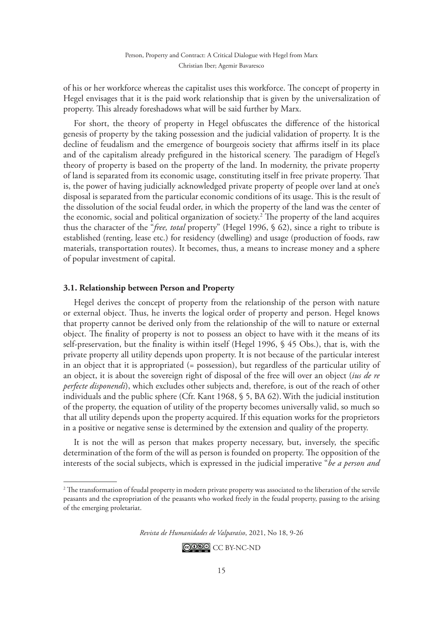of his or her workforce whereas the capitalist uses this workforce. The concept of property in Hegel envisages that it is the paid work relationship that is given by the universalization of property. This already foreshadows what will be said further by Marx.

For short, the theory of property in Hegel obfuscates the difference of the historical genesis of property by the taking possession and the judicial validation of property. It is the decline of feudalism and the emergence of bourgeois society that affirms itself in its place and of the capitalism already prefigured in the historical scenery. The paradigm of Hegel's theory of property is based on the property of the land. In modernity, the private property of land is separated from its economic usage, constituting itself in free private property. That is, the power of having judicially acknowledged private property of people over land at one's disposal is separated from the particular economic conditions of its usage. This is the result of the dissolution of the social feudal order, in which the property of the land was the center of the economic, social and political organization of society.<sup>2</sup> The property of the land acquires thus the character of the "*free, total* property" (Hegel 1996, § 62), since a right to tribute is established (renting, lease etc.) for residency (dwelling) and usage (production of foods, raw materials, transportation routes). It becomes, thus, a means to increase money and a sphere of popular investment of capital.

# **3.1. Relationship between Person and Property**

Hegel derives the concept of property from the relationship of the person with nature or external object. Thus, he inverts the logical order of property and person. Hegel knows that property cannot be derived only from the relationship of the will to nature or external object. The finality of property is not to possess an object to have with it the means of its self-preservation, but the finality is within itself (Hegel 1996, § 45 Obs.), that is, with the private property all utility depends upon property. It is not because of the particular interest in an object that it is appropriated (= possession), but regardless of the particular utility of an object, it is about the sovereign right of disposal of the free will over an object (*ius de re perfecte disponendi*), which excludes other subjects and, therefore, is out of the reach of other individuals and the public sphere (Cfr. Kant 1968, § 5, BA 62).With the judicial institution of the property, the equation of utility of the property becomes universally valid, so much so that all utility depends upon the property acquired. If this equation works for the proprietors in a positive or negative sense is determined by the extension and quality of the property.

It is not the will as person that makes property necessary, but, inversely, the specific determination of the form of the will as person is founded on property. The opposition of the interests of the social subjects, which is expressed in the judicial imperative "*be a person and* 

*Revista de Humanidades de Valparaíso*, 2021, No 18, 9-26

<sup>2</sup> The transformation of feudal property in modern private property was associated to the liberation of the servile peasants and the expropriation of the peasants who worked freely in the feudal property, passing to the arising of the emerging proletariat.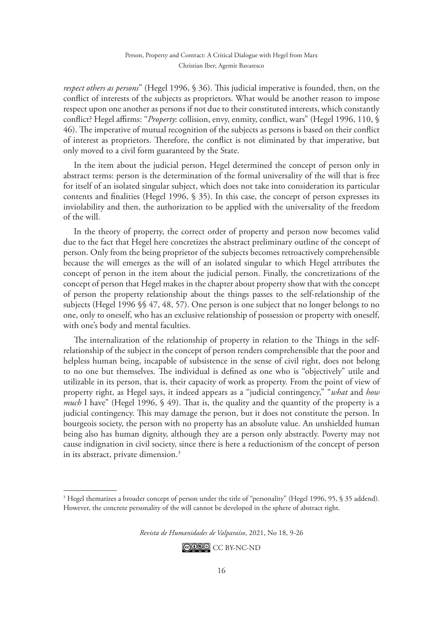*respect others as persons*" (Hegel 1996, § 36). This judicial imperative is founded, then, on the conflict of interests of the subjects as proprietors. What would be another reason to impose respect upon one another as persons if not due to their constituted interests, which constantly conflict? Hegel affirms: "*Property*: collision, envy, enmity, conflict, wars" (Hegel 1996, 110, § 46). The imperative of mutual recognition of the subjects as persons is based on their conflict of interest as proprietors. Therefore, the conflict is not eliminated by that imperative, but only moved to a civil form guaranteed by the State.

In the item about the judicial person, Hegel determined the concept of person only in abstract terms: person is the determination of the formal universality of the will that is free for itself of an isolated singular subject, which does not take into consideration its particular contents and finalities (Hegel 1996, § 35). In this case, the concept of person expresses its inviolability and then, the authorization to be applied with the universality of the freedom of the will.

In the theory of property, the correct order of property and person now becomes valid due to the fact that Hegel here concretizes the abstract preliminary outline of the concept of person. Only from the being proprietor of the subjects becomes retroactively comprehensible because the will emerges as the will of an isolated singular to which Hegel attributes the concept of person in the item about the judicial person. Finally, the concretizations of the concept of person that Hegel makes in the chapter about property show that with the concept of person the property relationship about the things passes to the self-relationship of the subjects (Hegel 1996 §§ 47, 48, 57). One person is one subject that no longer belongs to no one, only to oneself, who has an exclusive relationship of possession or property with oneself, with one's body and mental faculties.

The internalization of the relationship of property in relation to the Things in the selfrelationship of the subject in the concept of person renders comprehensible that the poor and helpless human being, incapable of subsistence in the sense of civil right, does not belong to no one but themselves. The individual is defined as one who is "objectively" utile and utilizable in its person, that is, their capacity of work as property. From the point of view of property right, as Hegel says, it indeed appears as a "judicial contingency," "*what* and *how much* I have" (Hegel 1996, § 49). That is, the quality and the quantity of the property is a judicial contingency. This may damage the person, but it does not constitute the person. In bourgeois society, the person with no property has an absolute value. An unshielded human being also has human dignity, although they are a person only abstractly. Poverty may not cause indignation in civil society, since there is here a reductionism of the concept of person in its abstract, private dimension.<sup>3</sup>

*Revista de Humanidades de Valparaíso*, 2021, No 18, 9-26

<sup>3</sup> Hegel thematizes a broader concept of person under the title of "personality" (Hegel 1996, 95, § 35 addend). However, the concrete personality of the will cannot be developed in the sphere of abstract right.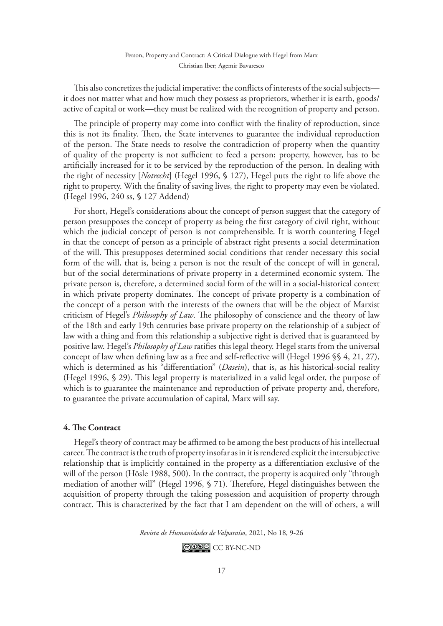This also concretizes the judicial imperative: the conflicts of interests of the social subjects it does not matter what and how much they possess as proprietors, whether it is earth, goods/ active of capital or work—they must be realized with the recognition of property and person.

The principle of property may come into conflict with the finality of reproduction, since this is not its finality. Then, the State intervenes to guarantee the individual reproduction of the person. The State needs to resolve the contradiction of property when the quantity of quality of the property is not sufficient to feed a person; property, however, has to be artificially increased for it to be serviced by the reproduction of the person. In dealing with the right of necessity [*Notrecht*] (Hegel 1996, § 127), Hegel puts the right to life above the right to property. With the finality of saving lives, the right to property may even be violated. (Hegel 1996, 240 ss, § 127 Addend)

For short, Hegel's considerations about the concept of person suggest that the category of person presupposes the concept of property as being the first category of civil right, without which the judicial concept of person is not comprehensible. It is worth countering Hegel in that the concept of person as a principle of abstract right presents a social determination of the will. This presupposes determined social conditions that render necessary this social form of the will, that is, being a person is not the result of the concept of will in general, but of the social determinations of private property in a determined economic system. The private person is, therefore, a determined social form of the will in a social-historical context in which private property dominates. The concept of private property is a combination of the concept of a person with the interests of the owners that will be the object of Marxist criticism of Hegel's *Philosophy of Law*. The philosophy of conscience and the theory of law of the 18th and early 19th centuries base private property on the relationship of a subject of law with a thing and from this relationship a subjective right is derived that is guaranteed by positive law. Hegel's *Philosophy of Law* ratifies this legal theory. Hegel starts from the universal concept of law when defining law as a free and self-reflective will (Hegel 1996 §§ 4, 21, 27), which is determined as his "differentiation" (*Dasein*), that is, as his historical-social reality (Hegel 1996, § 29). This legal property is materialized in a valid legal order, the purpose of which is to guarantee the maintenance and reproduction of private property and, therefore, to guarantee the private accumulation of capital, Marx will say.

#### **4. The Contract**

Hegel's theory of contract may be affirmed to be among the best products of his intellectual career. The contract is the truth of property insofar as in it is rendered explicit the intersubjective relationship that is implicitly contained in the property as a differentiation exclusive of the will of the person (Hösle 1988, 500). In the contract, the property is acquired only "through mediation of another will" (Hegel 1996, § 71). Therefore, Hegel distinguishes between the acquisition of property through the taking possession and acquisition of property through contract. This is characterized by the fact that I am dependent on the will of others, a will

*Revista de Humanidades de Valparaíso*, 2021, No 18, 9-26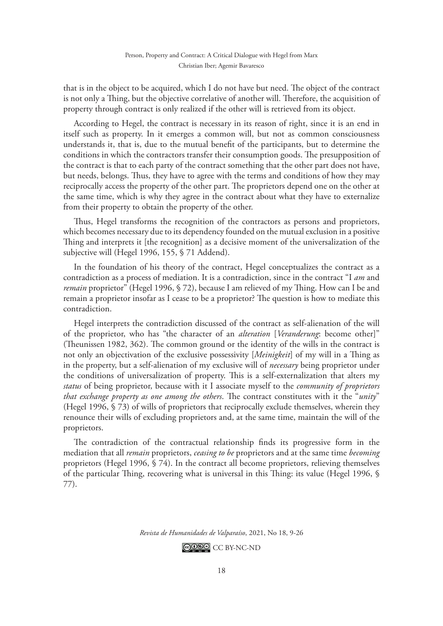that is in the object to be acquired, which I do not have but need. The object of the contract is not only a Thing, but the objective correlative of another will. Therefore, the acquisition of property through contract is only realized if the other will is retrieved from its object.

According to Hegel, the contract is necessary in its reason of right, since it is an end in itself such as property. In it emerges a common will, but not as common consciousness understands it, that is, due to the mutual benefit of the participants, but to determine the conditions in which the contractors transfer their consumption goods. The presupposition of the contract is that to each party of the contract something that the other part does not have, but needs, belongs. Thus, they have to agree with the terms and conditions of how they may reciprocally access the property of the other part. The proprietors depend one on the other at the same time, which is why they agree in the contract about what they have to externalize from their property to obtain the property of the other.

Thus, Hegel transforms the recognition of the contractors as persons and proprietors, which becomes necessary due to its dependency founded on the mutual exclusion in a positive Thing and interprets it [the recognition] as a decisive moment of the universalization of the subjective will (Hegel 1996, 155, § 71 Addend).

In the foundation of his theory of the contract, Hegel conceptualizes the contract as a contradiction as a process of mediation. It is a contradiction, since in the contract "I *am* and *remain* proprietor" (Hegel 1996, § 72), because I am relieved of my Thing. How can I be and remain a proprietor insofar as I cease to be a proprietor? The question is how to mediate this contradiction.

Hegel interprets the contradiction discussed of the contract as self-alienation of the will of the proprietor, who has "the character of an *alteration* [*Veranderung*: become other]" (Theunissen 1982, 362). The common ground or the identity of the wills in the contract is not only an objectivation of the exclusive possessivity [*Meinigkeit*] of my will in a Thing as in the property, but a self-alienation of my exclusive will of *necessary* being proprietor under the conditions of universalization of property. This is a self-externalization that alters my *status* of being proprietor, because with it I associate myself to the *community of proprietors that exchange property as one among the others*. The contract constitutes with it the "*unity*" (Hegel 1996, § 73) of wills of proprietors that reciprocally exclude themselves, wherein they renounce their wills of excluding proprietors and, at the same time, maintain the will of the proprietors.

The contradiction of the contractual relationship finds its progressive form in the mediation that all *remain* proprietors, *ceasing to be* proprietors and at the same time *becoming*  proprietors (Hegel 1996, § 74). In the contract all become proprietors, relieving themselves of the particular Thing, recovering what is universal in this Thing: its value (Hegel 1996, § 77).

*Revista de Humanidades de Valparaíso*, 2021, No 18, 9-26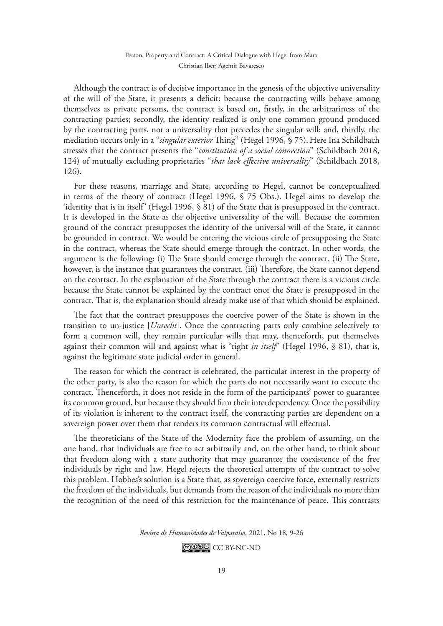Although the contract is of decisive importance in the genesis of the objective universality of the will of the State, it presents a deficit: because the contracting wills behave among themselves as private persons, the contract is based on, firstly, in the arbitrariness of the contracting parties; secondly, the identity realized is only one common ground produced by the contracting parts, not a universality that precedes the singular will; and, thirdly, the mediation occurs only in a "*singular exterior* Thing" (Hegel 1996, § 75).Here Ina Schildbach stresses that the contract presents the "*constitution of a social connection*" (Schildbach 2018, 124) of mutually excluding proprietaries "*that lack effective universality*" (Schildbach 2018, 126).

For these reasons, marriage and State, according to Hegel, cannot be conceptualized in terms of the theory of contract (Hegel 1996, § 75 Obs.). Hegel aims to develop the 'identity that is in itself' (Hegel 1996, § 81) of the State that is presupposed in the contract. It is developed in the State as the objective universality of the will. Because the common ground of the contract presupposes the identity of the universal will of the State, it cannot be grounded in contract. We would be entering the vicious circle of presupposing the State in the contract, whereas the State should emerge through the contract. In other words, the argument is the following: (i) The State should emerge through the contract. (ii) The State, however, is the instance that guarantees the contract. (iii) Therefore, the State cannot depend on the contract. In the explanation of the State through the contract there is a vicious circle because the State cannot be explained by the contract once the State is presupposed in the contract. That is, the explanation should already make use of that which should be explained.

The fact that the contract presupposes the coercive power of the State is shown in the transition to un-justice [*Unrecht*]. Once the contracting parts only combine selectively to form a common will, they remain particular wills that may, thenceforth, put themselves against their common will and against what is "right *in itself*" (Hegel 1996, § 81), that is, against the legitimate state judicial order in general.

The reason for which the contract is celebrated, the particular interest in the property of the other party, is also the reason for which the parts do not necessarily want to execute the contract. Thenceforth, it does not reside in the form of the participants' power to guarantee its common ground, but because they should firm their interdependency. Once the possibility of its violation is inherent to the contract itself, the contracting parties are dependent on a sovereign power over them that renders its common contractual will effectual.

The theoreticians of the State of the Modernity face the problem of assuming, on the one hand, that individuals are free to act arbitrarily and, on the other hand, to think about that freedom along with a state authority that may guarantee the coexistence of the free individuals by right and law. Hegel rejects the theoretical attempts of the contract to solve this problem. Hobbes's solution is a State that, as sovereign coercive force, externally restricts the freedom of the individuals, but demands from the reason of the individuals no more than the recognition of the need of this restriction for the maintenance of peace. This contrasts

*Revista de Humanidades de Valparaíso*, 2021, No 18, 9-26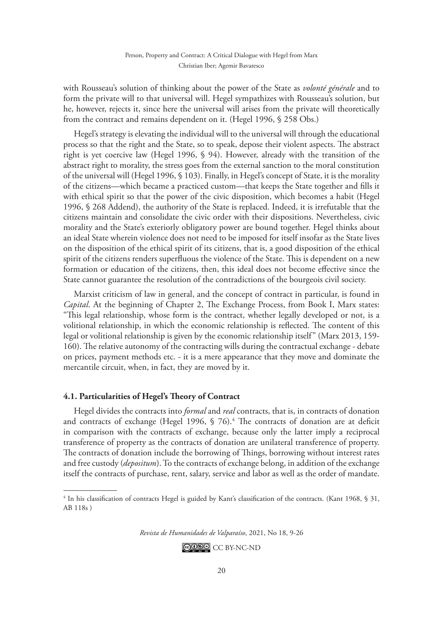with Rousseau's solution of thinking about the power of the State as *volonté générale* and to form the private will to that universal will. Hegel sympathizes with Rousseau's solution, but he, however, rejects it, since here the universal will arises from the private will theoretically from the contract and remains dependent on it. (Hegel 1996, § 258 Obs.)

Hegel's strategy is elevating the individual will to the universal will through the educational process so that the right and the State, so to speak, depose their violent aspects. The abstract right is yet coercive law (Hegel 1996, § 94). However, already with the transition of the abstract right to morality, the stress goes from the external sanction to the moral constitution of the universal will (Hegel 1996, § 103). Finally, in Hegel's concept of State, it is the morality of the citizens—which became a practiced custom—that keeps the State together and fills it with ethical spirit so that the power of the civic disposition, which becomes a habit (Hegel 1996, § 268 Addend), the authority of the State is replaced. Indeed, it is irrefutable that the citizens maintain and consolidate the civic order with their dispositions. Nevertheless, civic morality and the State's exteriorly obligatory power are bound together. Hegel thinks about an ideal State wherein violence does not need to be imposed for itself insofar as the State lives on the disposition of the ethical spirit of its citizens, that is, a good disposition of the ethical spirit of the citizens renders superfluous the violence of the State. This is dependent on a new formation or education of the citizens, then, this ideal does not become effective since the State cannot guarantee the resolution of the contradictions of the bourgeois civil society.

Marxist criticism of law in general, and the concept of contract in particular, is found in *Capital*. At the beginning of Chapter 2, The Exchange Process, from Book I, Marx states: "This legal relationship, whose form is the contract, whether legally developed or not, is a volitional relationship, in which the economic relationship is reflected. The content of this legal or volitional relationship is given by the economic relationship itself" (Marx 2013, 159- 160). The relative autonomy of the contracting wills during the contractual exchange - debate on prices, payment methods etc. - it is a mere appearance that they move and dominate the mercantile circuit, when, in fact, they are moved by it.

# **4.1. Particularities of Hegel's Theory of Contract**

Hegel divides the contracts into *formal* and *real* contracts, that is, in contracts of donation and contracts of exchange (Hegel 1996,  $\frac{6}{5}$  76).<sup>4</sup> The contracts of donation are at deficit in comparison with the contracts of exchange, because only the latter imply a reciprocal transference of property as the contracts of donation are unilateral transference of property. The contracts of donation include the borrowing of Things, borrowing without interest rates and free custody (*depositum*). To the contracts of exchange belong, in addition of the exchange itself the contracts of purchase, rent, salary, service and labor as well as the order of mandate.

*Revista de Humanidades de Valparaíso*, 2021, No 18, 9-26

<sup>4</sup> In his classification of contracts Hegel is guided by Kant's classification of the contracts. (Kant 1968, § 31, AB 118s )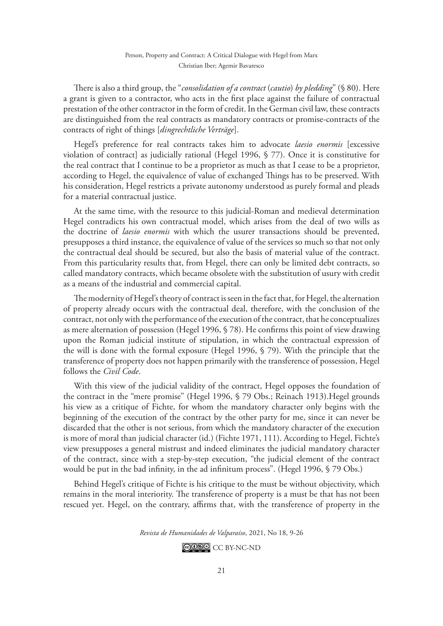There is also a third group, the "*consolidation of a contract* (*cautio*) *by pledding*" (§ 80). Here a grant is given to a contractor, who acts in the first place against the failure of contractual prestation of the other contractor in the form of credit. In the German civil law, these contracts are distinguished from the real contracts as mandatory contracts or promise-contracts of the contracts of right of things [*dingrechtliche Verträge*].

Hegel's preference for real contracts takes him to advocate *laesio enormis* [excessive violation of contract] as judicially rational (Hegel 1996, § 77). Once it is constitutive for the real contract that I continue to be a proprietor as much as that I cease to be a proprietor, according to Hegel, the equivalence of value of exchanged Things has to be preserved. With his consideration, Hegel restricts a private autonomy understood as purely formal and pleads for a material contractual justice.

At the same time, with the resource to this judicial-Roman and medieval determination Hegel contradicts his own contractual model, which arises from the deal of two wills as the doctrine of *laesio enormis* with which the usurer transactions should be prevented, presupposes a third instance, the equivalence of value of the services so much so that not only the contractual deal should be secured, but also the basis of material value of the contract. From this particularity results that, from Hegel, there can only be limited debt contracts, so called mandatory contracts, which became obsolete with the substitution of usury with credit as a means of the industrial and commercial capital.

The modernity of Hegel's theory of contract is seen in the fact that, for Hegel, the alternation of property already occurs with the contractual deal, therefore, with the conclusion of the contract, not only with the performance of the execution of the contract, that he conceptualizes as mere alternation of possession (Hegel 1996, § 78). He confirms this point of view drawing upon the Roman judicial institute of stipulation, in which the contractual expression of the will is done with the formal exposure (Hegel 1996, § 79). With the principle that the transference of property does not happen primarily with the transference of possession, Hegel follows the *Civil Code*.

With this view of the judicial validity of the contract, Hegel opposes the foundation of the contract in the "mere promise" (Hegel 1996, § 79 Obs.; Reinach 1913).Hegel grounds his view as a critique of Fichte, for whom the mandatory character only begins with the beginning of the execution of the contract by the other party for me, since it can never be discarded that the other is not serious, from which the mandatory character of the execution is more of moral than judicial character (id.) (Fichte 1971, 111). According to Hegel, Fichte's view presupposes a general mistrust and indeed eliminates the judicial mandatory character of the contract, since with a step-by-step execution, "the judicial element of the contract would be put in the bad infinity, in the ad infinitum process". (Hegel 1996, § 79 Obs.)

Behind Hegel's critique of Fichte is his critique to the must be without objectivity, which remains in the moral interiority. The transference of property is a must be that has not been rescued yet. Hegel, on the contrary, affirms that, with the transference of property in the

*Revista de Humanidades de Valparaíso*, 2021, No 18, 9-26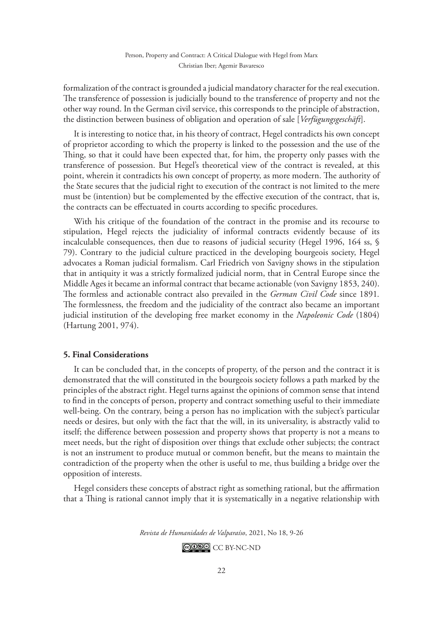formalization of the contract is grounded a judicial mandatory character for the real execution. The transference of possession is judicially bound to the transference of property and not the other way round. In the German civil service, this corresponds to the principle of abstraction, the distinction between business of obligation and operation of sale [*Verfügungsgeschäft*].

It is interesting to notice that, in his theory of contract, Hegel contradicts his own concept of proprietor according to which the property is linked to the possession and the use of the Thing, so that it could have been expected that, for him, the property only passes with the transference of possession. But Hegel's theoretical view of the contract is revealed, at this point, wherein it contradicts his own concept of property, as more modern. The authority of the State secures that the judicial right to execution of the contract is not limited to the mere must be (intention) but be complemented by the effective execution of the contract, that is, the contracts can be effectuated in courts according to specific procedures.

With his critique of the foundation of the contract in the promise and its recourse to stipulation, Hegel rejects the judiciality of informal contracts evidently because of its incalculable consequences, then due to reasons of judicial security (Hegel 1996, 164 ss, § 79). Contrary to the judicial culture practiced in the developing bourgeois society, Hegel advocates a Roman judicial formalism. Carl Friedrich von Savigny shows in the stipulation that in antiquity it was a strictly formalized judicial norm, that in Central Europe since the Middle Ages it became an informal contract that became actionable (von Savigny 1853, 240). The formless and actionable contract also prevailed in the *German Civil Code* since 1891*.*  The formlessness, the freedom and the judiciality of the contract also became an important judicial institution of the developing free market economy in the *Napoleonic Code* (1804) (Hartung 2001, 974).

#### **5. Final Considerations**

It can be concluded that, in the concepts of property, of the person and the contract it is demonstrated that the will constituted in the bourgeois society follows a path marked by the principles of the abstract right. Hegel turns against the opinions of common sense that intend to find in the concepts of person, property and contract something useful to their immediate well-being. On the contrary, being a person has no implication with the subject's particular needs or desires, but only with the fact that the will, in its universality, is abstractly valid to itself; the difference between possession and property shows that property is not a means to meet needs, but the right of disposition over things that exclude other subjects; the contract is not an instrument to produce mutual or common benefit, but the means to maintain the contradiction of the property when the other is useful to me, thus building a bridge over the opposition of interests.

Hegel considers these concepts of abstract right as something rational, but the affirmation that a Thing is rational cannot imply that it is systematically in a negative relationship with

*Revista de Humanidades de Valparaíso*, 2021, No 18, 9-26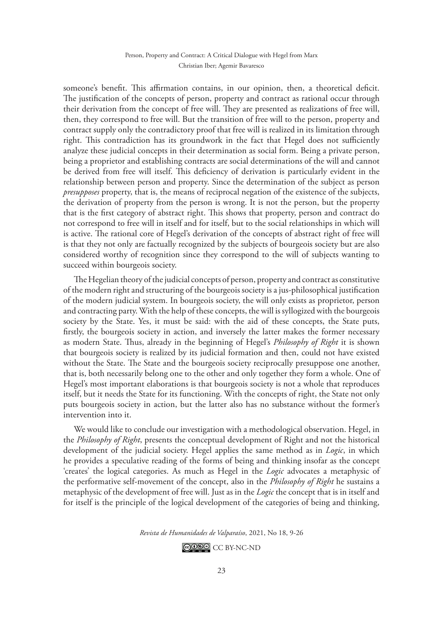someone's benefit. This affirmation contains, in our opinion, then, a theoretical deficit. The justification of the concepts of person, property and contract as rational occur through their derivation from the concept of free will. They are presented as realizations of free will, then, they correspond to free will. But the transition of free will to the person, property and contract supply only the contradictory proof that free will is realized in its limitation through right. This contradiction has its groundwork in the fact that Hegel does not sufficiently analyze these judicial concepts in their determination as social form. Being a private person, being a proprietor and establishing contracts are social determinations of the will and cannot be derived from free will itself. This deficiency of derivation is particularly evident in the relationship between person and property. Since the determination of the subject as person *presupposes* property, that is, the means of reciprocal negation of the existence of the subjects, the derivation of property from the person is wrong. It is not the person, but the property that is the first category of abstract right. This shows that property, person and contract do not correspond to free will in itself and for itself, but to the social relationships in which will is active. The rational core of Hegel's derivation of the concepts of abstract right of free will is that they not only are factually recognized by the subjects of bourgeois society but are also considered worthy of recognition since they correspond to the will of subjects wanting to succeed within bourgeois society.

The Hegelian theory of the judicial concepts of person, property and contract as constitutive of the modern right and structuring of the bourgeois society is a jus-philosophical justification of the modern judicial system. In bourgeois society, the will only exists as proprietor, person and contracting party. With the help of these concepts, the will is syllogized with the bourgeois society by the State. Yes, it must be said: with the aid of these concepts, the State puts, firstly, the bourgeois society in action, and inversely the latter makes the former necessary as modern State. Thus, already in the beginning of Hegel's *Philosophy of Right* it is shown that bourgeois society is realized by its judicial formation and then, could not have existed without the State. The State and the bourgeois society reciprocally presuppose one another, that is, both necessarily belong one to the other and only together they form a whole. One of Hegel's most important elaborations is that bourgeois society is not a whole that reproduces itself, but it needs the State for its functioning. With the concepts of right, the State not only puts bourgeois society in action, but the latter also has no substance without the former's intervention into it.

We would like to conclude our investigation with a methodological observation. Hegel, in the *Philosophy of Right*, presents the conceptual development of Right and not the historical development of the judicial society. Hegel applies the same method as in *Logic*, in which he provides a speculative reading of the forms of being and thinking insofar as the concept 'creates' the logical categories. As much as Hegel in the *Logic* advocates a metaphysic of the performative self-movement of the concept, also in the *Philosophy of Right* he sustains a metaphysic of the development of free will. Just as in the *Logic* the concept that is in itself and for itself is the principle of the logical development of the categories of being and thinking,

*Revista de Humanidades de Valparaíso*, 2021, No 18, 9-26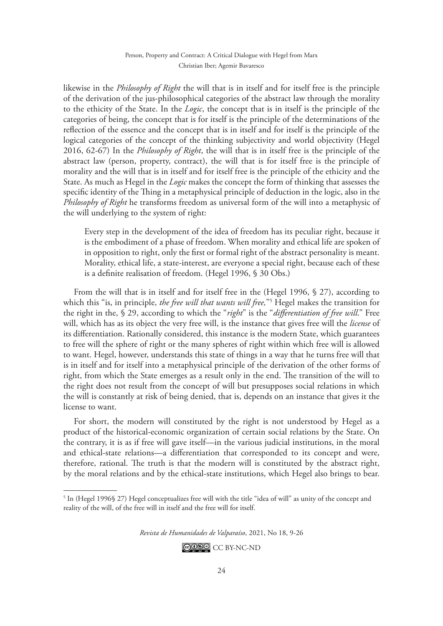likewise in the *Philosophy of Right* the will that is in itself and for itself free is the principle of the derivation of the jus-philosophical categories of the abstract law through the morality to the ethicity of the State. In the *Logic*, the concept that is in itself is the principle of the categories of being, the concept that is for itself is the principle of the determinations of the reflection of the essence and the concept that is in itself and for itself is the principle of the logical categories of the concept of the thinking subjectivity and world objectivity (Hegel 2016, 62-67) In the *Philosophy of Right*, the will that is in itself free is the principle of the abstract law (person, property, contract), the will that is for itself free is the principle of morality and the will that is in itself and for itself free is the principle of the ethicity and the State. As much as Hegel in the *Logic* makes the concept the form of thinking that assesses the specific identity of the Thing in a metaphysical principle of deduction in the logic, also in the *Philosophy of Right* he transforms freedom as universal form of the will into a metaphysic of the will underlying to the system of right:

Every step in the development of the idea of freedom has its peculiar right, because it is the embodiment of a phase of freedom. When morality and ethical life are spoken of in opposition to right, only the first or formal right of the abstract personality is meant. Morality, ethical life, a state-interest, are everyone a special right, because each of these is a definite realisation of freedom. (Hegel 1996, § 30 Obs.)

From the will that is in itself and for itself free in the (Hegel 1996, § 27), according to which this "is, in principle, *the free will that wants will free,*"5 Hegel makes the transition for the right in the, § 29, according to which the "*right*" is the "*differentiation of free will*." Free will, which has as its object the very free will, is the instance that gives free will the *license* of its differentiation. Rationally considered, this instance is the modern State, which guarantees to free will the sphere of right or the many spheres of right within which free will is allowed to want. Hegel, however, understands this state of things in a way that he turns free will that is in itself and for itself into a metaphysical principle of the derivation of the other forms of right, from which the State emerges as a result only in the end. The transition of the will to the right does not result from the concept of will but presupposes social relations in which the will is constantly at risk of being denied, that is, depends on an instance that gives it the license to want.

For short, the modern will constituted by the right is not understood by Hegel as a product of the historical-economic organization of certain social relations by the State. On the contrary, it is as if free will gave itself—in the various judicial institutions, in the moral and ethical-state relations—a differentiation that corresponded to its concept and were, therefore, rational. The truth is that the modern will is constituted by the abstract right, by the moral relations and by the ethical-state institutions, which Hegel also brings to bear.

*Revista de Humanidades de Valparaíso*, 2021, No 18, 9-26

 $^5$  In (Hegel 1996§ 27) Hegel conceptualizes free will with the title "idea of will" as unity of the concept and reality of the will, of the free will in itself and the free will for itself.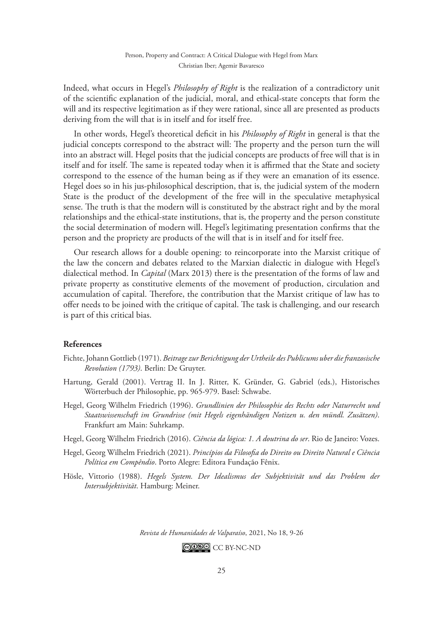Indeed, what occurs in Hegel's *Philosophy of Right* is the realization of a contradictory unit of the scientific explanation of the judicial, moral, and ethical-state concepts that form the will and its respective legitimation as if they were rational, since all are presented as products deriving from the will that is in itself and for itself free.

In other words, Hegel's theoretical deficit in his *Philosophy of Right* in general is that the judicial concepts correspond to the abstract will: The property and the person turn the will into an abstract will. Hegel posits that the judicial concepts are products of free will that is in itself and for itself. The same is repeated today when it is affirmed that the State and society correspond to the essence of the human being as if they were an emanation of its essence. Hegel does so in his jus-philosophical description, that is, the judicial system of the modern State is the product of the development of the free will in the speculative metaphysical sense. The truth is that the modern will is constituted by the abstract right and by the moral relationships and the ethical-state institutions, that is, the property and the person constitute the social determination of modern will. Hegel's legitimating presentation confirms that the person and the propriety are products of the will that is in itself and for itself free.

Our research allows for a double opening: to reincorporate into the Marxist critique of the law the concern and debates related to the Marxian dialectic in dialogue with Hegel's dialectical method. In *Capital* (Marx 2013) there is the presentation of the forms of law and private property as constitutive elements of the movement of production, circulation and accumulation of capital. Therefore, the contribution that the Marxist critique of law has to offer needs to be joined with the critique of capital. The task is challenging, and our research is part of this critical bias.

## **References**

- Fichte, Johann Gottlieb (1971). *Beitrage zur Berichtigung der Urtheile des Publicums uber die franzosische Revolution (1793)*. Berlin: De Gruyter.
- Hartung, Gerald (2001). Vertrag II. In J. Ritter, K. Gründer, G. Gabriel (eds.), Historisches Wörterbuch der Philosophie, pp. 965-979. Basel: Schwabe.
- Hegel, Georg Wilhelm Friedrich (1996). *Grundlinien der Philosophie des Rechts oder Naturrecht und Staatswissenschaft im Grundrisse (mit Hegels eigenhändigen Notizen u. den mündl. Zusätzen)*. Frankfurt am Main: Suhrkamp.
- Hegel, Georg Wilhelm Friedrich (2016). *Ciência da lógica: 1. A doutrina do ser*. Rio de Janeiro: Vozes.
- Hegel, Georg Wilhelm Friedrich (2021). *Princípios da Filosofia do Direito ou Direito Natural e Ciência Política em Compêndio*. Porto Alegre: Editora Fundação Fênix.
- Hösle, Vittorio (1988). *Hegels System. Der Idealismus der Subjektivität und das Problem der Intersubjektivität*. Hamburg: Meiner.

*Revista de Humanidades de Valparaíso*, 2021, No 18, 9-26